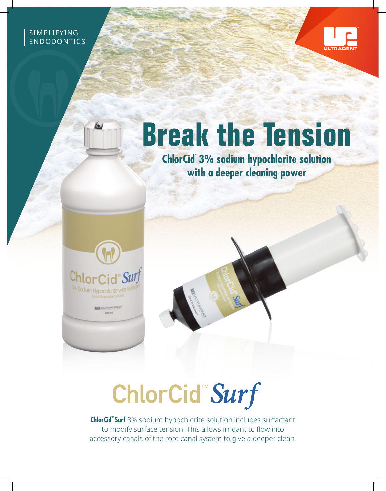SIMPLIFYING ENDODONTICS



## **Break the Tension**

**ChlorCid™ 3% sodium hypochlorite solution with a deeper cleaning power** 



6

**BENULTRADEN** 

## ChlorCid"Surf

**ChlorCid™ Surf** 3% sodium hypochlorite solution includes surfactant to modify surface tension. This allows irrigant to flow into accessory canals of the root canal system to give a deeper clean.